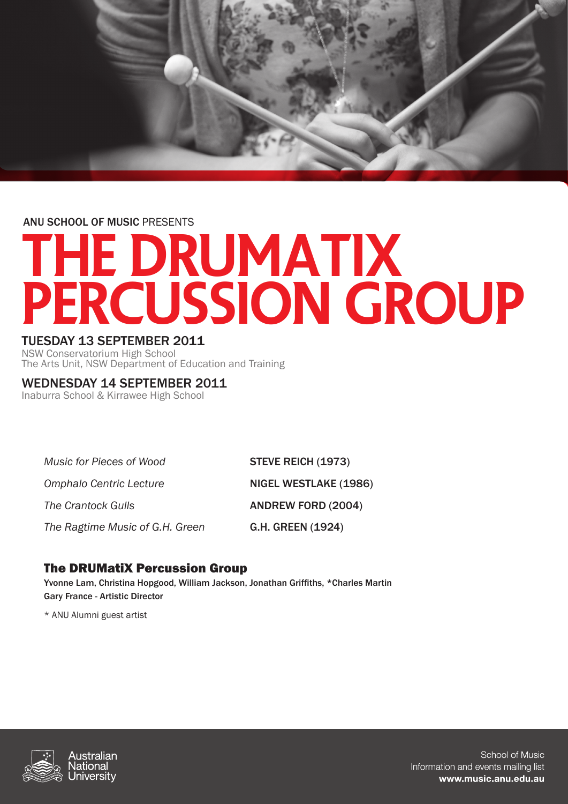

ANU SCHOOL OF MUSIC PRESENTS

# The DRUMatiX PERCUSSION GROUP

## TUESDAY 13 SEPTEMBER 2011

NSW Conservatorium High School The Arts Unit, NSW Department of Education and Training

## WEDNESDAY 14 SEPTEMBER 2011

Inaburra School & Kirrawee High School

*Music for Pieces of Wood* **STEVE REICH (1973)** 

*The Ragtime Music of G.H. Green* G.H. GREEN (1924)

**Omphalo Centric Lecture**  NIGEL WESTLAKE (1986) **The Crantock Gulls <b>ANDREW FORD** (2004)

# The DRUMatiX Percussion Group

Yvonne Lam, Christina Hopgood, William Jackson, Jonathan Griffiths, \*Charles Martin Gary France - Artistic Director

\* ANU Alumni guest artist



School of Music Information and events mailing list www.music.anu.edu.au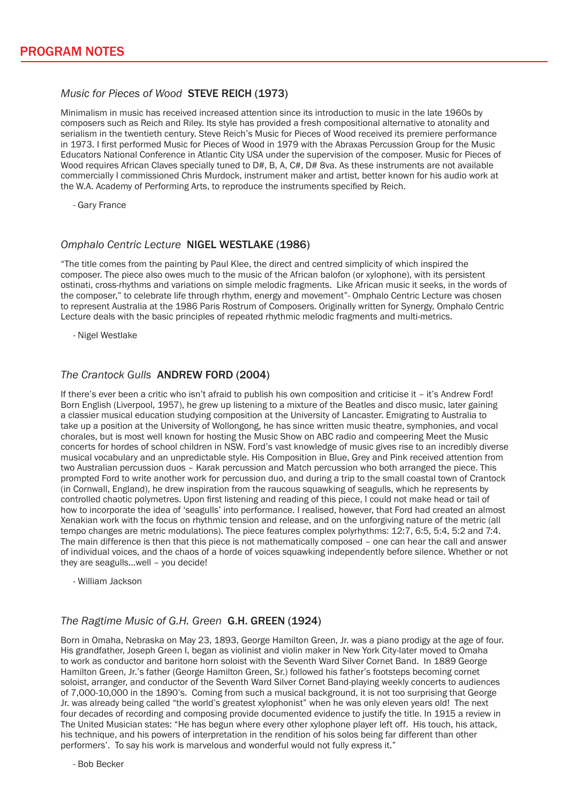#### *Music for Pieces of Wood* STEVE REICH (1973)

Minimalism in music has received increased attention since its introduction to music in the late 1960s by composers such as Reich and Riley. Its style has provided a fresh compositional alternative to atonality and serialism in the twentieth century. Steve Reich's Music for Pieces of Wood received its premiere performance in 1973. I first performed Music for Pieces of Wood in 1979 with the Abraxas Percussion Group for the Music Educators National Conference in Atlantic City USA under the supervision of the composer. Music for Pieces of Wood requires African Claves specially tuned to D#, B, A, C#, D# 8va. As these instruments are not available commercially I commissioned Chris Murdock, instrument maker and artist, better known for his audio work at the W.A. Academy of Performing Arts, to reproduce the instruments specified by Reich.

- Gary France

#### *Omphalo Centric Lecture* NIGEL WESTLAKE (1986)

"The title comes from the painting by Paul Klee, the direct and centred simplicity of which inspired the composer. The piece also owes much to the music of the African balofon (or xylophone), with its persistent ostinati, cross-rhythms and variations on simple melodic fragments. Like African music it seeks, in the words of the composer," to celebrate life through rhythm, energy and movement"- Omphalo Centric Lecture was chosen to represent Australia at the 1986 Paris Rostrum of Composers. Originally written for Synergy, Omphalo Centric Lecture deals with the basic principles of repeated rhythmic melodic fragments and multi-metrics.

- Nigel Westlake

#### *The Crantock Gulls* ANDREW FORD (2004)

If there's ever been a critic who isn't afraid to publish his own composition and criticise it – it's Andrew Ford! Born English (Liverpool, 1957), he grew up listening to a mixture of the Beatles and disco music, later gaining a classier musical education studying composition at the University of Lancaster. Emigrating to Australia to take up a position at the University of Wollongong, he has since written music theatre, symphonies, and vocal chorales, but is most well known for hosting the Music Show on ABC radio and compeering Meet the Music concerts for hordes of school children in NSW. Ford's vast knowledge of music gives rise to an incredibly diverse musical vocabulary and an unpredictable style. His Composition in Blue, Grey and Pink received attention from two Australian percussion duos – Karak percussion and Match percussion who both arranged the piece. This prompted Ford to write another work for percussion duo, and during a trip to the small coastal town of Crantock (in Cornwall, England), he drew inspiration from the raucous squawking of seagulls, which he represents by controlled chaotic polymetres. Upon first listening and reading of this piece, I could not make head or tail of how to incorporate the idea of 'seagulls' into performance. I realised, however, that Ford had created an almost Xenakian work with the focus on rhythmic tension and release, and on the unforgiving nature of the metric (all tempo changes are metric modulations). The piece features complex polyrhythms: 12:7, 6:5, 5:4, 5:2 and 7:4. The main difference is then that this piece is not mathematically composed – one can hear the call and answer of individual voices, and the chaos of a horde of voices squawking independently before silence. Whether or not they are seagulls…well – you decide!

- William Jackson

#### *The Ragtime Music of G.H. Green* G.H. GREEN (1924)

Born in Omaha, Nebraska on May 23, 1893, George Hamilton Green, Jr. was a piano prodigy at the age of four. His grandfather, Joseph Green I, began as violinist and violin maker in New York City-later moved to Omaha to work as conductor and baritone horn soloist with the Seventh Ward Silver Cornet Band. In 1889 George Hamilton Green, Jr.'s father (George Hamilton Green, Sr.) followed his father's footsteps becoming cornet soloist, arranger, and conductor of the Seventh Ward Silver Cornet Band-playing weekly concerts to audiences of 7,000-10,000 in the 1890's. Coming from such a musical background, it is not too surprising that George Jr. was already being called "the world's greatest xylophonist" when he was only eleven years old! The next four decades of recording and composing provide documented evidence to justify the title. In 1915 a review in The United Musician states: "He has begun where every other xylophone player left off. His touch, his attack, his technique, and his powers of interpretation in the rendition of his solos being far different than other performers'. To say his work is marvelous and wonderful would not fully express it."

- Bob Becker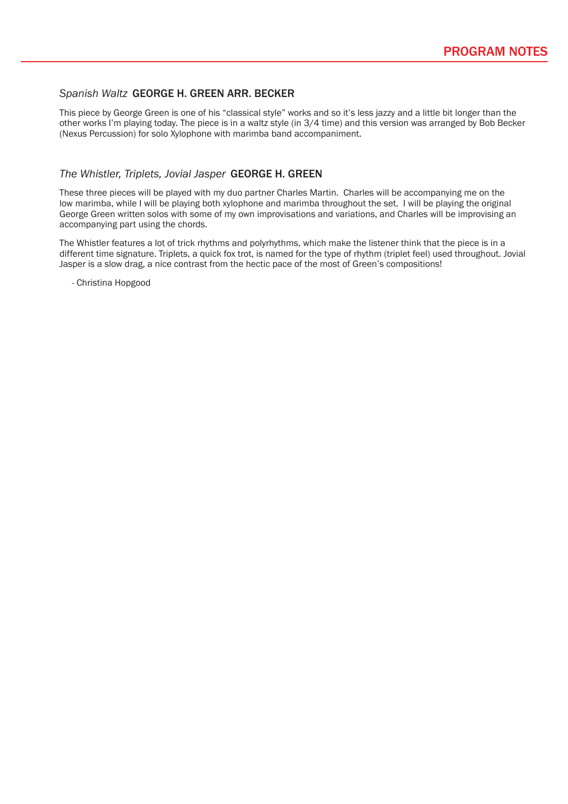#### *Spanish Waltz* GEORGE H. GREEN ARR. BECKER

This piece by George Green is one of his "classical style" works and so it's less jazzy and a little bit longer than the other works I'm playing today. The piece is in a waltz style (in 3/4 time) and this version was arranged by Bob Becker (Nexus Percussion) for solo Xylophone with marimba band accompaniment.

#### *The Whistler, Triplets, Jovial Jasper* GEORGE H. GREEN

These three pieces will be played with my duo partner Charles Martin. Charles will be accompanying me on the low marimba, while I will be playing both xylophone and marimba throughout the set. I will be playing the original George Green written solos with some of my own improvisations and variations, and Charles will be improvising an accompanying part using the chords.

The Whistler features a lot of trick rhythms and polyrhythms, which make the listener think that the piece is in a different time signature. Triplets, a quick fox trot, is named for the type of rhythm (triplet feel) used throughout. Jovial Jasper is a slow drag, a nice contrast from the hectic pace of the most of Green's compositions!

- Christina Hopgood